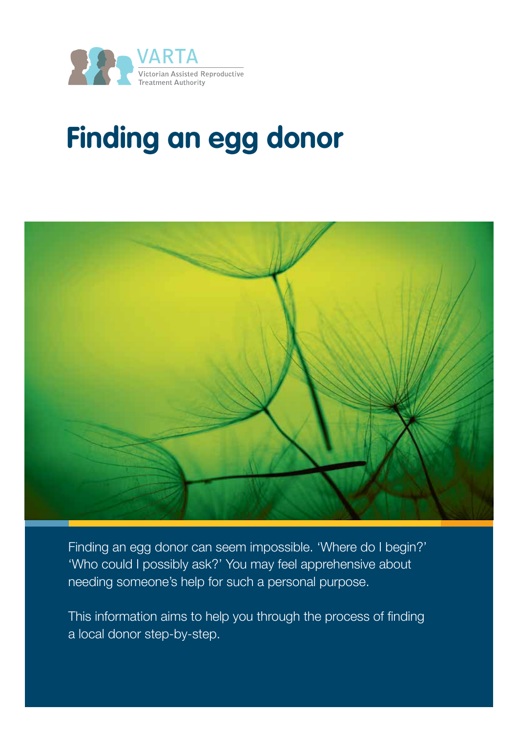



Finding an egg donor can seem impossible. 'Where do I begin?' 'Who could I possibly ask?' You may feel apprehensive about needing someone's help for such a personal purpose.

This information aims to help you through the process of finding a local donor step-by-step.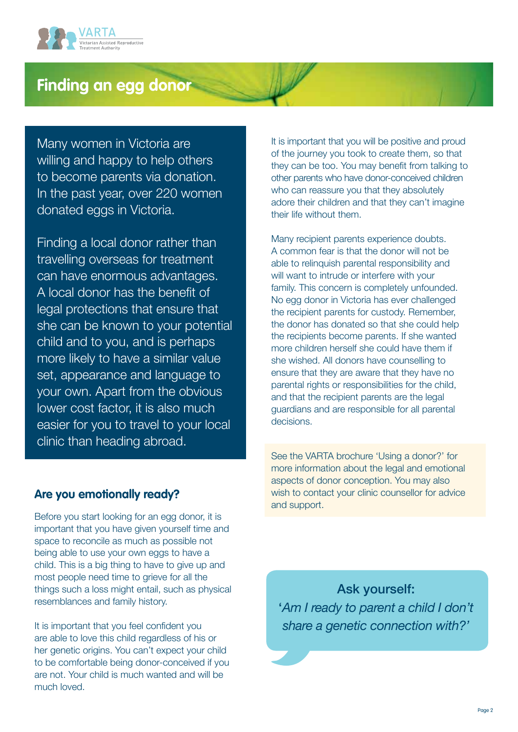

Many women in Victoria are willing and happy to help others to become parents via donation. In the past year, over 220 women donated eggs in Victoria.

Finding a local donor rather than travelling overseas for treatment can have enormous advantages. A local donor has the benefit of legal protections that ensure that she can be known to your potential child and to you, and is perhaps more likely to have a similar value set, appearance and language to your own. Apart from the obvious lower cost factor, it is also much easier for you to travel to your local clinic than heading abroad.

It is important that you will be positive and proud of the journey you took to create them, so that they can be too. You may benefit from talking to other parents who have donor-conceived children who can reassure you that they absolutely adore their children and that they can't imagine their life without them.

Many recipient parents experience doubts. A common fear is that the donor will not be able to relinquish parental responsibility and will want to intrude or interfere with your family. This concern is completely unfounded. No egg donor in Victoria has ever challenged the recipient parents for custody. Remember, the donor has donated so that she could help the recipients become parents. If she wanted more children herself she could have them if she wished. All donors have counselling to ensure that they are aware that they have no parental rights or responsibilities for the child, and that the recipient parents are the legal guardians and are responsible for all parental decisions.

See the VARTA brochure 'Using a donor?' for more information about the legal and emotional aspects of donor conception. You may also wish to contact your clinic counsellor for advice and support.

Ask yourself: '*Am I ready to parent a child I don't share a genetic connection with?'*

## **Are you emotionally ready?**

Before you start looking for an egg donor, it is important that you have given yourself time and space to reconcile as much as possible not being able to use your own eggs to have a child. This is a big thing to have to give up and most people need time to grieve for all the things such a loss might entail, such as physical resemblances and family history.

It is important that you feel confident you are able to love this child regardless of his or her genetic origins. You can't expect your child to be comfortable being donor-conceived if you are not. Your child is much wanted and will be much loved.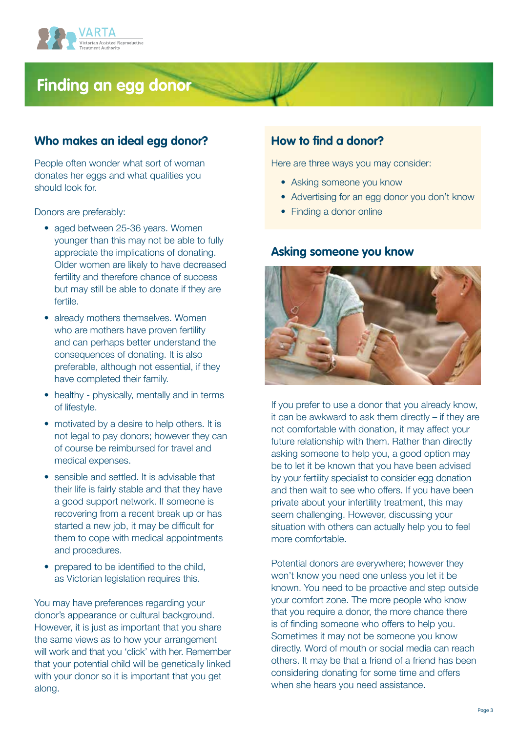

## **Who makes an ideal egg donor?**

People often wonder what sort of woman donates her eggs and what qualities you should look for.

Donors are preferably:

- aged between 25-36 years. Women younger than this may not be able to fully appreciate the implications of donating. Older women are likely to have decreased fertility and therefore chance of success but may still be able to donate if they are fertile.
- already mothers themselves. Women who are mothers have proven fertility and can perhaps better understand the consequences of donating. It is also preferable, although not essential, if they have completed their family.
- healthy physically, mentally and in terms of lifestyle.
- motivated by a desire to help others. It is not legal to pay donors; however they can of course be reimbursed for travel and medical expenses.
- sensible and settled. It is advisable that their life is fairly stable and that they have a good support network. If someone is recovering from a recent break up or has started a new job, it may be difficult for them to cope with medical appointments and procedures.
- prepared to be identified to the child. as Victorian legislation requires this.

You may have preferences regarding your donor's appearance or cultural background. However, it is just as important that you share the same views as to how your arrangement will work and that you 'click' with her. Remember that your potential child will be genetically linked with your donor so it is important that you get along.

## **How to find a donor?**

Here are three ways you may consider:

- Asking someone you know
- Advertising for an egg donor you don't know
- Finding a donor online

#### **Asking someone you know**



If you prefer to use a donor that you already know, it can be awkward to ask them directly – if they are not comfortable with donation, it may affect your future relationship with them. Rather than directly asking someone to help you, a good option may be to let it be known that you have been advised by your fertility specialist to consider egg donation and then wait to see who offers. If you have been private about your infertility treatment, this may seem challenging. However, discussing your situation with others can actually help you to feel more comfortable.

Potential donors are everywhere; however they won't know you need one unless you let it be known. You need to be proactive and step outside your comfort zone. The more people who know that you require a donor, the more chance there is of finding someone who offers to help you. Sometimes it may not be someone you know directly. Word of mouth or social media can reach others. It may be that a friend of a friend has been considering donating for some time and offers when she hears you need assistance.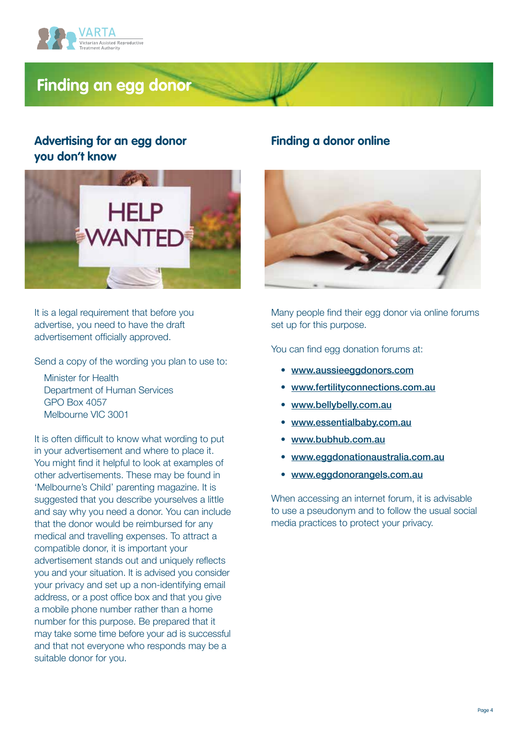

# **Advertising for an egg donor you don't know**



It is a legal requirement that before you advertise, you need to have the draft advertisement officially approved.

Send a copy of the wording you plan to use to:

Minister for Health Department of Human Services GPO Box 4057 Melbourne VIC 3001

It is often difficult to know what wording to put in your advertisement and where to place it. You might find it helpful to look at examples of other advertisements. These may be found in 'Melbourne's Child' parenting magazine. It is suggested that you describe yourselves a little and say why you need a donor. You can include that the donor would be reimbursed for any medical and travelling expenses. To attract a compatible donor, it is important your advertisement stands out and uniquely reflects you and your situation. It is advised you consider your privacy and set up a non-identifying email address, or a post office box and that you give a mobile phone number rather than a home number for this purpose. Be prepared that it may take some time before your ad is successful and that not everyone who responds may be a suitable donor for you.

### **Finding a donor online**



Many people find their egg donor via online forums set up for this purpose.

You can find egg donation forums at:

- [www.aussieeggdonors.com](http://www.aussieeggdonors.com/)
- [www.fertilityconnections.com.au](http://www.fertilityconnections.com.au/)
- [www.bellybelly.com.au](http://www.bellybelly.com.au/)
- [www.essentialbaby.com.au](http://www.essentialbaby.com.au/)
- [www.bubhub.com.au](http://www.bubhub.com.au/index.php)
- [www.eggdonationaustralia.com.au](http://www.eggdonationaustralia.com.au/)
- [www.eggdonorangels.com.au](http://www.eggdonorangels.com.au/)

When accessing an internet forum, it is advisable to use a pseudonym and to follow the usual social media practices to protect your privacy.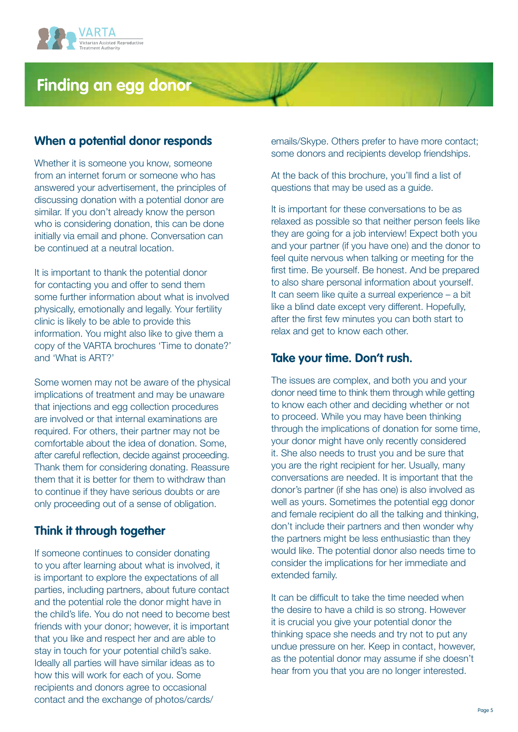

## **When a potential donor responds**

Whether it is someone you know, someone from an internet forum or someone who has answered your advertisement, the principles of discussing donation with a potential donor are similar. If you don't already know the person who is considering donation, this can be done initially via email and phone. Conversation can be continued at a neutral location.

It is important to thank the potential donor for contacting you and offer to send them some further information about what is involved physically, emotionally and legally. Your fertility clinic is likely to be able to provide this information. You might also like to give them a copy of the VARTA brochures 'Time to donate?' and 'What is ART?'

Some women may not be aware of the physical implications of treatment and may be unaware that injections and egg collection procedures are involved or that internal examinations are required. For others, their partner may not be comfortable about the idea of donation. Some, after careful reflection, decide against proceeding. Thank them for considering donating. Reassure them that it is better for them to withdraw than to continue if they have serious doubts or are only proceeding out of a sense of obligation.

# **Think it through together**

If someone continues to consider donating to you after learning about what is involved, it is important to explore the expectations of all parties, including partners, about future contact and the potential role the donor might have in the child's life. You do not need to become best friends with your donor; however, it is important that you like and respect her and are able to stay in touch for your potential child's sake. Ideally all parties will have similar ideas as to how this will work for each of you. Some recipients and donors agree to occasional contact and the exchange of photos/cards/

emails/Skype. Others prefer to have more contact; some donors and recipients develop friendships.

At the back of this brochure, you'll find a list of questions that may be used as a guide.

It is important for these conversations to be as relaxed as possible so that neither person feels like they are going for a job interview! Expect both you and your partner (if you have one) and the donor to feel quite nervous when talking or meeting for the first time. Be yourself. Be honest. And be prepared to also share personal information about yourself. It can seem like quite a surreal experience – a bit like a blind date except very different. Hopefully, after the first few minutes you can both start to relax and get to know each other.

## **Take your time. Don't rush.**

The issues are complex, and both you and your donor need time to think them through while getting to know each other and deciding whether or not to proceed. While you may have been thinking through the implications of donation for some time, your donor might have only recently considered it. She also needs to trust you and be sure that you are the right recipient for her. Usually, many conversations are needed. It is important that the donor's partner (if she has one) is also involved as well as yours. Sometimes the potential egg donor and female recipient do all the talking and thinking, don't include their partners and then wonder why the partners might be less enthusiastic than they would like. The potential donor also needs time to consider the implications for her immediate and extended family.

It can be difficult to take the time needed when the desire to have a child is so strong. However it is crucial you give your potential donor the thinking space she needs and try not to put any undue pressure on her. Keep in contact, however, as the potential donor may assume if she doesn't hear from you that you are no longer interested.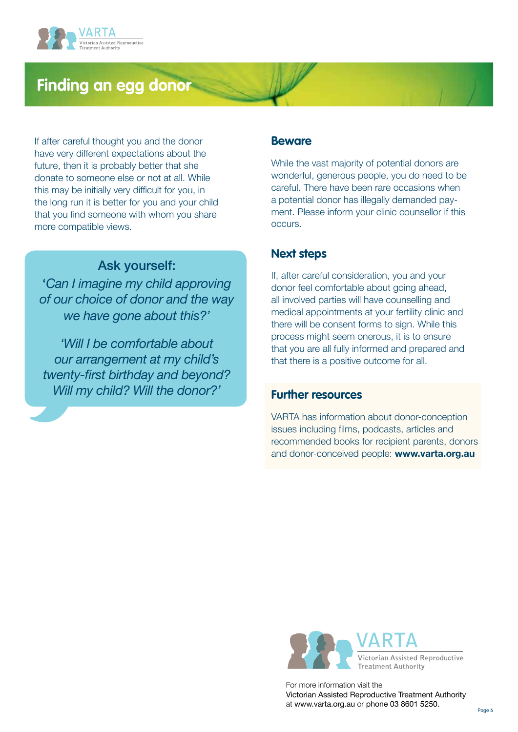

If after careful thought you and the donor have very different expectations about the future, then it is probably better that she donate to someone else or not at all. While this may be initially very difficult for you, in the long run it is better for you and your child that you find someone with whom you share more compatible views.

## Ask yourself:

'*Can I imagine my child approving of our choice of donor and the way we have gone about this?'*

*'Will I be comfortable about our arrangement at my child's twenty-first birthday and beyond? Will my child? Will the donor?'*

#### **Beware**

While the vast majority of potential donors are wonderful, generous people, you do need to be careful. There have been rare occasions when a potential donor has illegally demanded payment. Please inform your clinic counsellor if this occurs.

## **Next steps**

If, after careful consideration, you and your donor feel comfortable about going ahead, all involved parties will have counselling and medical appointments at your fertility clinic and there will be consent forms to sign. While this process might seem onerous, it is to ensure that you are all fully informed and prepared and that there is a positive outcome for all.

### **Further resources**

VARTA has information about donor-conception issues including films, podcasts, articles and recommended books for recipient parents, donors and donor-conceived people: **[www.varta.org.au](http://www.varta.org.au/)**



For more information visit the Victorian Assisted Reproductive Treatment Authority at www.varta.org.au or phone 03 8601 5250.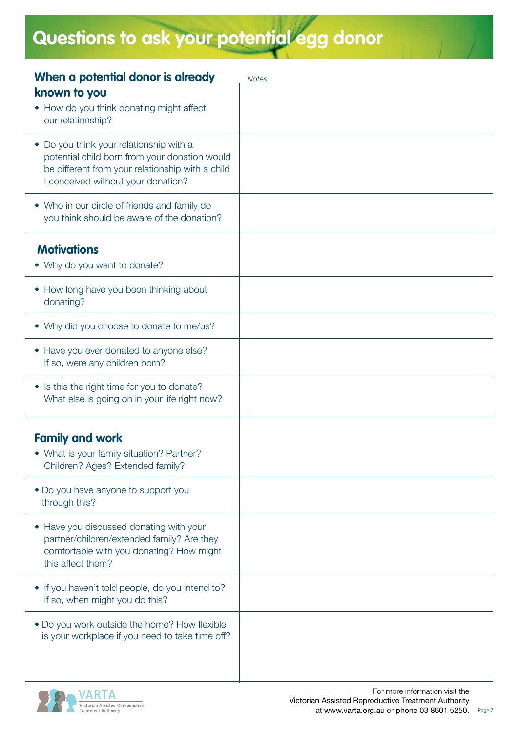# **Questions to ask your potential egg donor**

| When a potential donor is already                                                                 | <b>Notes</b> |
|---------------------------------------------------------------------------------------------------|--------------|
| known to you                                                                                      |              |
| • How do you think donating might affect<br>our relationship?                                     |              |
| • Do you think your relationship with a                                                           |              |
| potential child born from your donation would<br>be different from your relationship with a child |              |
| I conceived without your donation?                                                                |              |
| • Who in our circle of friends and family do<br>you think should be aware of the donation?        |              |
|                                                                                                   |              |
| <b>Motivations</b>                                                                                |              |
| • Why do you want to donate?                                                                      |              |
| • How long have you been thinking about<br>donating?                                              |              |
| • Why did you choose to donate to me/us?                                                          |              |
| • Have you ever donated to anyone else?                                                           |              |
| If so, were any children born?                                                                    |              |
| • Is this the right time for you to donate?                                                       |              |
| What else is going on in your life right now?                                                     |              |
| <b>Family and work</b>                                                                            |              |
| • What is your family situation? Partner?                                                         |              |
| Children? Ages? Extended family?                                                                  |              |
| • Do you have anyone to support you                                                               |              |
| through this?                                                                                     |              |
| • Have you discussed donating with your                                                           |              |
| partner/children/extended family? Are they<br>comfortable with you donating? How might            |              |
| this affect them?                                                                                 |              |
| • If you haven't told people, do you intend to?                                                   |              |
| If so, when might you do this?                                                                    |              |
| • Do you work outside the home? How flexible                                                      |              |
| is your workplace if you need to take time off?                                                   |              |
|                                                                                                   |              |

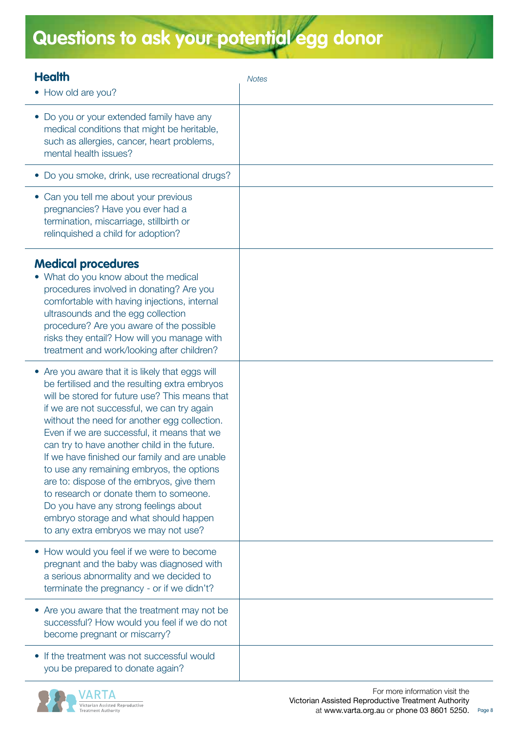# **Questions to ask your potential egg donor**

| <b>Health</b><br>• How old are you?                                                                                                                                                                                                                                                                                                                                                                                                                                                                                                                                                                                                                             | <b>Notes</b> |
|-----------------------------------------------------------------------------------------------------------------------------------------------------------------------------------------------------------------------------------------------------------------------------------------------------------------------------------------------------------------------------------------------------------------------------------------------------------------------------------------------------------------------------------------------------------------------------------------------------------------------------------------------------------------|--------------|
| • Do you or your extended family have any<br>medical conditions that might be heritable,<br>such as allergies, cancer, heart problems,<br>mental health issues?                                                                                                                                                                                                                                                                                                                                                                                                                                                                                                 |              |
| · Do you smoke, drink, use recreational drugs?                                                                                                                                                                                                                                                                                                                                                                                                                                                                                                                                                                                                                  |              |
| • Can you tell me about your previous<br>pregnancies? Have you ever had a<br>termination, miscarriage, stillbirth or<br>relinquished a child for adoption?                                                                                                                                                                                                                                                                                                                                                                                                                                                                                                      |              |
| <b>Medical procedures</b><br>• What do you know about the medical<br>procedures involved in donating? Are you<br>comfortable with having injections, internal<br>ultrasounds and the egg collection<br>procedure? Are you aware of the possible<br>risks they entail? How will you manage with<br>treatment and work/looking after children?                                                                                                                                                                                                                                                                                                                    |              |
| • Are you aware that it is likely that eggs will<br>be fertilised and the resulting extra embryos<br>will be stored for future use? This means that<br>if we are not successful, we can try again<br>without the need for another egg collection.<br>Even if we are successful, it means that we<br>can try to have another child in the future.<br>If we have finished our family and are unable<br>to use any remaining embryos, the options<br>are to: dispose of the embryos, give them<br>to research or donate them to someone.<br>Do you have any strong feelings about<br>embryo storage and what should happen<br>to any extra embryos we may not use? |              |
| • How would you feel if we were to become<br>pregnant and the baby was diagnosed with<br>a serious abnormality and we decided to<br>terminate the pregnancy - or if we didn't?                                                                                                                                                                                                                                                                                                                                                                                                                                                                                  |              |
| • Are you aware that the treatment may not be<br>successful? How would you feel if we do not<br>become pregnant or miscarry?                                                                                                                                                                                                                                                                                                                                                                                                                                                                                                                                    |              |
| • If the treatment was not successful would<br>you be prepared to donate again?                                                                                                                                                                                                                                                                                                                                                                                                                                                                                                                                                                                 |              |